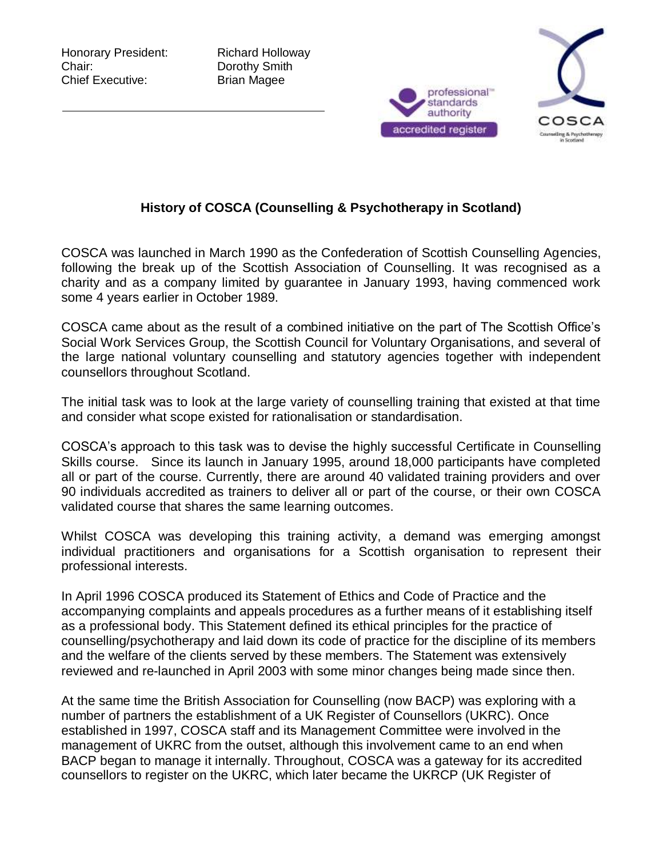Honorary President: Richard Holloway Chair: Dorothy Smith Chief Executive: Brian Magee





## **History of COSCA (Counselling & Psychotherapy in Scotland)**

COSCA was launched in March 1990 as the Confederation of Scottish Counselling Agencies, following the break up of the Scottish Association of Counselling. It was recognised as a charity and as a company limited by guarantee in January 1993, having commenced work some 4 years earlier in October 1989.

COSCA came about as the result of a combined initiative on the part of The Scottish Office's Social Work Services Group, the Scottish Council for Voluntary Organisations, and several of the large national voluntary counselling and statutory agencies together with independent counsellors throughout Scotland.

The initial task was to look at the large variety of counselling training that existed at that time and consider what scope existed for rationalisation or standardisation.

COSCA's approach to this task was to devise the highly successful Certificate in Counselling Skills course. Since its launch in January 1995, around 18,000 participants have completed all or part of the course. Currently, there are around 40 validated training providers and over 90 individuals accredited as trainers to deliver all or part of the course, or their own COSCA validated course that shares the same learning outcomes.

Whilst COSCA was developing this training activity, a demand was emerging amongst individual practitioners and organisations for a Scottish organisation to represent their professional interests.

In April 1996 COSCA produced its Statement of Ethics and Code of Practice and the accompanying complaints and appeals procedures as a further means of it establishing itself as a professional body. This Statement defined its ethical principles for the practice of counselling/psychotherapy and laid down its code of practice for the discipline of its members and the welfare of the clients served by these members. The Statement was extensively reviewed and re-launched in April 2003 with some minor changes being made since then.

At the same time the British Association for Counselling (now BACP) was exploring with a number of partners the establishment of a UK Register of Counsellors (UKRC). Once established in 1997, COSCA staff and its Management Committee were involved in the management of UKRC from the outset, although this involvement came to an end when BACP began to manage it internally. Throughout, COSCA was a gateway for its accredited counsellors to register on the UKRC, which later became the UKRCP (UK Register of